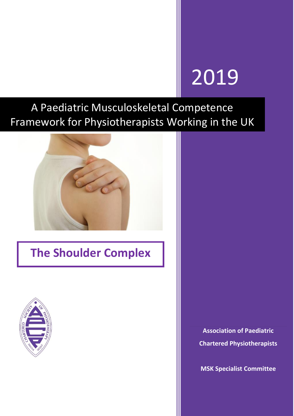# 2019

A Paediatric Musculoskeletal Competence Framework for Physiotherapists Working in the UK



## **The Shoulder Complex**



**Association of Paediatric Chartered Physiotherapists**

**MSK Specialist Committee**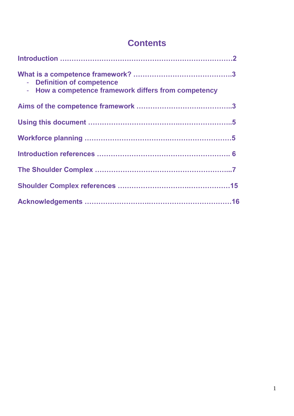### **Contents**

| - Definition of competence<br>- How a competence framework differs from competency |  |
|------------------------------------------------------------------------------------|--|
|                                                                                    |  |
|                                                                                    |  |
|                                                                                    |  |
|                                                                                    |  |
|                                                                                    |  |
|                                                                                    |  |
|                                                                                    |  |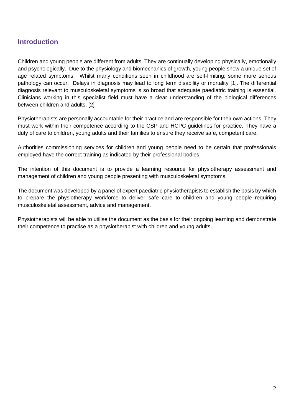#### **Introduction**

Children and young people are different from adults. They are continually developing physically, emotionally and psychologically. Due to the physiology and biomechanics of growth, young people show a unique set of age related symptoms. Whilst many conditions seen in childhood are self-limiting; some more serious pathology can occur. Delays in diagnosis may lead to long term disability or mortality [1]. The differential diagnosis relevant to musculoskeletal symptoms is so broad that adequate paediatric training is essential. Clinicians working in this specialist field must have a clear understanding of the biological differences between children and adults. [2]

Physiotherapists are personally accountable for their practice and are responsible for their own actions. They must work within their competence according to the CSP and HCPC guidelines for practice. They have a duty of care to children, young adults and their families to ensure they receive safe, competent care.

Authorities commissioning services for children and young people need to be certain that professionals employed have the correct training as indicated by their professional bodies.

The intention of this document is to provide a learning resource for physiotherapy assessment and management of children and young people presenting with musculoskeletal symptoms.

The document was developed by a panel of expert paediatric physiotherapists to establish the basis by which to prepare the physiotherapy workforce to deliver safe care to children and young people requiring musculoskeletal assessment, advice and management.

Physiotherapists will be able to utilise the document as the basis for their ongoing learning and demonstrate their competence to practise as a physiotherapist with children and young adults.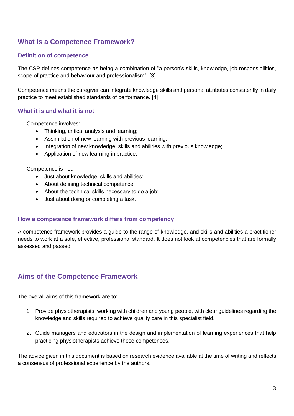#### **What is a Competence Framework?**

#### **Definition of competence**

The CSP defines competence as being a combination of "a person's skills, knowledge, job responsibilities, scope of practice and behaviour and professionalism". [3]

Competence means the caregiver can integrate knowledge skills and personal attributes consistently in daily practice to meet established standards of performance. [4]

#### **What it is and what it is not**

Competence involves:

- Thinking, critical analysis and learning;
- Assimilation of new learning with previous learning;
- Integration of new knowledge, skills and abilities with previous knowledge;
- Application of new learning in practice.

Competence is not:

- Just about knowledge, skills and abilities;
- About defining technical competence;
- About the technical skills necessary to do a job;
- Just about doing or completing a task.

#### **How a competence framework differs from competency**

A competence framework provides a guide to the range of knowledge, and skills and abilities a practitioner needs to work at a safe, effective, professional standard. It does not look at competencies that are formally assessed and passed.

#### **Aims of the Competence Framework**

The overall aims of this framework are to:

- 1. Provide physiotherapists, working with children and young people, with clear guidelines regarding the knowledge and skills required to achieve quality care in this specialist field.
- 2. Guide managers and educators in the design and implementation of learning experiences that help practicing physiotherapists achieve these competences.

The advice given in this document is based on research evidence available at the time of writing and reflects a consensus of professional experience by the authors.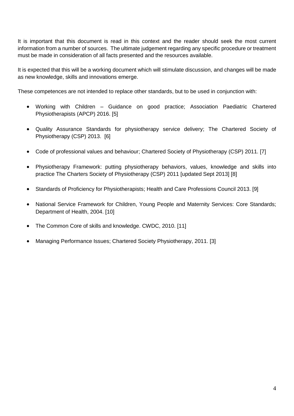It is important that this document is read in this context and the reader should seek the most current information from a number of sources. The ultimate judgement regarding any specific procedure or treatment must be made in consideration of all facts presented and the resources available.

It is expected that this will be a working document which will stimulate discussion, and changes will be made as new knowledge, skills and innovations emerge.

These competences are not intended to replace other standards, but to be used in conjunction with:

- Working with Children Guidance on good practice; Association Paediatric Chartered Physiotherapists (APCP) 2016. [5]
- Quality Assurance Standards for physiotherapy service delivery; The Chartered Society of Physiotherapy (CSP) 2013. [6]
- Code of professional values and behaviour; Chartered Society of Physiotherapy (CSP) 2011. [7]
- Physiotherapy Framework: putting physiotherapy behaviors, values, knowledge and skills into practice The Charters Society of Physiotherapy (CSP) 2011 [updated Sept 2013] [8]
- Standards of Proficiency for Physiotherapists; Health and Care Professions Council 2013. [9]
- National Service Framework for Children, Young People and Maternity Services: Core Standards; Department of Health, 2004. [10]
- The Common Core of skills and knowledge. CWDC, 2010. [11]
- Managing Performance Issues; Chartered Society Physiotherapy, 2011. [3]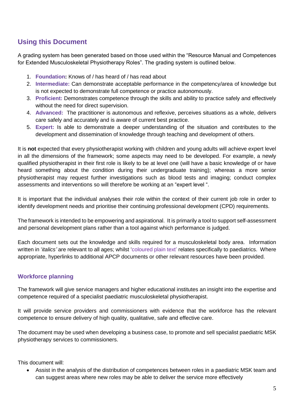#### **Using this Document**

A grading system has been generated based on those used within the "Resource Manual and Competences for Extended Musculoskeletal Physiotherapy Roles". The grading system is outlined below.

- 1. **Foundation:** Knows of / has heard of / has read about
- 2. **Intermediate:** Can demonstrate acceptable performance in the competency/area of knowledge but is not expected to demonstrate full competence or practice autonomously.
- 3. **Proficient:** Demonstrates competence through the skills and ability to practice safely and effectively without the need for direct supervision.
- 4. **Advanced:** The practitioner is autonomous and reflexive, perceives situations as a whole, delivers care safely and accurately and is aware of current best practice.
- 5. **Expert:** Is able to demonstrate a deeper understanding of the situation and contributes to the development and dissemination of knowledge through teaching and development of others.

It is **not** expected that every physiotherapist working with children and young adults will achieve expert level in all the dimensions of the framework; some aspects may need to be developed. For example, a newly qualified physiotherapist in their first role is likely to be at level one (will have a basic knowledge of or have heard something about the condition during their undergraduate training); whereas a more senior physiotherapist may request further investigations such as blood tests and imaging; conduct complex assessments and interventions so will therefore be working at an "expert level ".

It is important that the individual analyses their role within the context of their current job role in order to identify development needs and prioritise their continuing professional development (CPD) requirements.

The framework is intended to be empowering and aspirational. It is primarily a tool to support self-assessment and personal development plans rather than a tool against which performance is judged.

Each document sets out the knowledge and skills required for a musculoskeletal body area. Information written in '*italics'* are relevant to all ages; whilst 'coloured plain text' relates specifically to paediatrics. Where appropriate, hyperlinks to additional APCP documents or other relevant resources have been provided.

#### **Workforce planning**

The framework will give service managers and higher educational institutes an insight into the expertise and competence required of a specialist paediatric musculoskeletal physiotherapist.

It will provide service providers and commissioners with evidence that the workforce has the relevant competence to ensure delivery of high quality, qualitative, safe and effective care.

The document may be used when developing a business case, to promote and sell specialist paediatric MSK physiotherapy services to commissioners.

This document will:

 Assist in the analysis of the distribution of competences between roles in a paediatric MSK team and can suggest areas where new roles may be able to deliver the service more effectively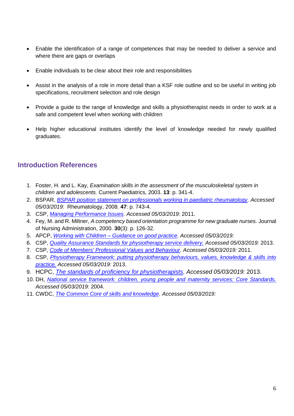- Enable the identification of a range of competences that may be needed to deliver a service and where there are gaps or overlaps
- Enable individuals to be clear about their role and responsibilities
- Assist in the analysis of a role in more detail than a KSF role outline and so be useful in writing job specifications, recruitment selection and role design
- Provide a quide to the range of knowledge and skills a physiotherapist needs in order to work at a safe and competent level when working with children
- Help higher educational institutes identify the level of knowledge needed for newly qualified graduates.

#### **Introduction References**

- 1. Foster, H. and L. Kay, *Examination skills in the assessment of the musculoskeletal system in children and adolescents.* Current Paediatrics, 2003. **13**: p. 341-4.
- 2. BSPAR, *[BSPAR position statement on professionals working in paediatric rheumatology.](https://www.researchgate.net/publication/5516840_BSPAR_position_statement_on_professionals_working_in_paediatric_rheumatology) Accessed 05/03/2019:* Rheumatology, 2008. **47**: p. 743-4.
- 3. CSP, *[Managing Performance Issues.](https://www.csp.org.uk/publications/managing-performance-issues-resource-pack) Accessed 05/03/2019:* 2011.
- 4. Fey, M. and R. Miltner, *A competency based orientation programme for new graduate nurses.* Journal of Nursing Administration, 2000. **30**(3): p. 126-32.
- 5. APCP, *Working with Children – [Guidance on good practice.](https://apcp.csp.org.uk/publications/working-children-guidance-good-practice) Accessed 05/03/2019:*
- 6. CSP, *[Quality Assurance Standards for physiotherapy service delivery.](https://www.csp.org.uk/publications/quality-assurance-standards-physiotherapy-service-delivery) Accessed 05/03/2019:* 2013.
- 7. CSP, *[Code of Members' Professional Values and Behaviour.](https://www.csp.org.uk/publications/code-members-professional-values-and-behaviour) Accessed 05/03/2019:* 2011.
- 8. CSP, *[Physiotherapy Framework: putting physiotherapy behaviours, values, knowledge & skills into](https://www.csp.org.uk/professional-clinical/cpd-and-education/professional-development/professional-frameworks)  [practice.](https://www.csp.org.uk/professional-clinical/cpd-and-education/professional-development/professional-frameworks) Accessed 05/03/2019:* 2013.
- 9. HCPC, *[The standards of proficiency for physiotherapists.](https://www.hcpc-uk.org/standards/standards-of-proficiency/physiotherapists/) Accessed 05/03/2019:* 2013.
- 10. DH, *[National service framework: children, young people and maternity services: Core Standards.](https://www.gov.uk/government/publications/national-service-framework-children-young-people-and-maternity-services) Accessed 05/03/2019:* 2004.
- 11. CWDC, *[The Common Core of skills and knowledge.](https://webarchive.nationalarchives.gov.uk/20120202142536/http:/www.cwdcouncil.org.uk/common-core) Accessed 05/03/2019:*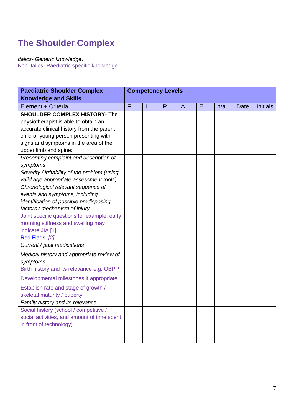## **The Shoulder Complex**

*Italics- Generic knowledge***.**

Non-italics- Paediatric specific knowledge

| <b>Paediatric Shoulder Complex</b>            |   |   | <b>Competency Levels</b> |                |   |     |      |                 |
|-----------------------------------------------|---|---|--------------------------|----------------|---|-----|------|-----------------|
| <b>Knowledge and Skills</b>                   |   |   |                          |                |   |     |      |                 |
| Element + Criteria                            | F | ı | P                        | $\overline{A}$ | E | n/a | Date | <b>Initials</b> |
| <b>SHOULDER COMPLEX HISTORY- The</b>          |   |   |                          |                |   |     |      |                 |
| physiotherapist is able to obtain an          |   |   |                          |                |   |     |      |                 |
| accurate clinical history from the parent,    |   |   |                          |                |   |     |      |                 |
| child or young person presenting with         |   |   |                          |                |   |     |      |                 |
| signs and symptoms in the area of the         |   |   |                          |                |   |     |      |                 |
| upper limb and spine:                         |   |   |                          |                |   |     |      |                 |
| Presenting complaint and description of       |   |   |                          |                |   |     |      |                 |
| symptoms                                      |   |   |                          |                |   |     |      |                 |
| Severity / irritability of the problem (using |   |   |                          |                |   |     |      |                 |
| valid age appropriate assessment tools)       |   |   |                          |                |   |     |      |                 |
| Chronological relevant sequence of            |   |   |                          |                |   |     |      |                 |
| events and symptoms, including                |   |   |                          |                |   |     |      |                 |
| identification of possible predisposing       |   |   |                          |                |   |     |      |                 |
| factors / mechanism of injury                 |   |   |                          |                |   |     |      |                 |
| Joint specific questions for example, early   |   |   |                          |                |   |     |      |                 |
| morning stiffness and swelling may            |   |   |                          |                |   |     |      |                 |
| indicate JIA [1]                              |   |   |                          |                |   |     |      |                 |
| Red Flags: [2]                                |   |   |                          |                |   |     |      |                 |
| Current / past medications                    |   |   |                          |                |   |     |      |                 |
| Medical history and appropriate review of     |   |   |                          |                |   |     |      |                 |
| symptoms                                      |   |   |                          |                |   |     |      |                 |
| Birth history and its relevance e.g. OBPP     |   |   |                          |                |   |     |      |                 |
| Developmental milestones if appropriate       |   |   |                          |                |   |     |      |                 |
| Establish rate and stage of growth /          |   |   |                          |                |   |     |      |                 |
| skeletal maturity / puberty                   |   |   |                          |                |   |     |      |                 |
| Family history and its relevance              |   |   |                          |                |   |     |      |                 |
| Social history (school / competitive /        |   |   |                          |                |   |     |      |                 |
| social activities, and amount of time spent   |   |   |                          |                |   |     |      |                 |
| in front of technology)                       |   |   |                          |                |   |     |      |                 |
|                                               |   |   |                          |                |   |     |      |                 |
|                                               |   |   |                          |                |   |     |      |                 |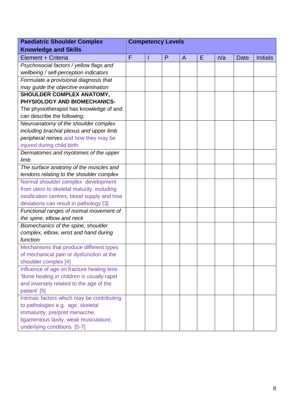| <b>Paediatric Shoulder Complex</b>          | <b>Competency Levels</b> |  |   |   |   |     |      |                 |
|---------------------------------------------|--------------------------|--|---|---|---|-----|------|-----------------|
| <b>Knowledge and Skills</b>                 |                          |  |   |   |   |     |      |                 |
| Element + Criteria                          | F                        |  | P | A | Ε | n/a | Date | <b>Initials</b> |
| Psychosocial factors / yellow flags and     |                          |  |   |   |   |     |      |                 |
| wellbeing / self-perception indicators      |                          |  |   |   |   |     |      |                 |
| Formulate a provisional diagnosis that      |                          |  |   |   |   |     |      |                 |
| may guide the objective examination         |                          |  |   |   |   |     |      |                 |
| SHOULDER COMPLEX ANATOMY,                   |                          |  |   |   |   |     |      |                 |
| PHYSIOLOGY AND BIOMECHANICS-                |                          |  |   |   |   |     |      |                 |
| The physiotherapist has knowledge of and    |                          |  |   |   |   |     |      |                 |
| can describe the following:                 |                          |  |   |   |   |     |      |                 |
| Neuroanatomy of the shoulder complex        |                          |  |   |   |   |     |      |                 |
| including brachial plexus and upper limb    |                          |  |   |   |   |     |      |                 |
| peripheral nerves and how they may be       |                          |  |   |   |   |     |      |                 |
| injured during child birth                  |                          |  |   |   |   |     |      |                 |
| Dermatomes and myotomes of the upper        |                          |  |   |   |   |     |      |                 |
| limb                                        |                          |  |   |   |   |     |      |                 |
| The surface anatomy of the muscles and      |                          |  |   |   |   |     |      |                 |
| tendons relating to the shoulder complex    |                          |  |   |   |   |     |      |                 |
| Normal shoulder complex development         |                          |  |   |   |   |     |      |                 |
| from utero to skeletal maturity, including  |                          |  |   |   |   |     |      |                 |
| ossification centres, blood supply and how  |                          |  |   |   |   |     |      |                 |
| deviations can result in pathology [3]      |                          |  |   |   |   |     |      |                 |
| Functional ranges of normal movement of     |                          |  |   |   |   |     |      |                 |
| the spine, elbow and neck                   |                          |  |   |   |   |     |      |                 |
| Biomechanics of the spine, shoulder         |                          |  |   |   |   |     |      |                 |
| complex, elbow, wrist and hand during       |                          |  |   |   |   |     |      |                 |
| function                                    |                          |  |   |   |   |     |      |                 |
| Mechanisms that produce different types     |                          |  |   |   |   |     |      |                 |
| of mechanical pain or dysfunction at the    |                          |  |   |   |   |     |      |                 |
| shoulder complex [4]                        |                          |  |   |   |   |     |      |                 |
| Influence of age on fracture healing time.  |                          |  |   |   |   |     |      |                 |
| 'Bone healing in children is usually rapid  |                          |  |   |   |   |     |      |                 |
| and inversely related to the age of the     |                          |  |   |   |   |     |      |                 |
| patient' [5]                                |                          |  |   |   |   |     |      |                 |
| Intrinsic factors which may be contributing |                          |  |   |   |   |     |      |                 |
| to pathologies e.g. age, skeletal           |                          |  |   |   |   |     |      |                 |
| immaturity, pre/post menarche,              |                          |  |   |   |   |     |      |                 |
| ligamentous laxity, weak musculature,       |                          |  |   |   |   |     |      |                 |
| underlying conditions [5-7]                 |                          |  |   |   |   |     |      |                 |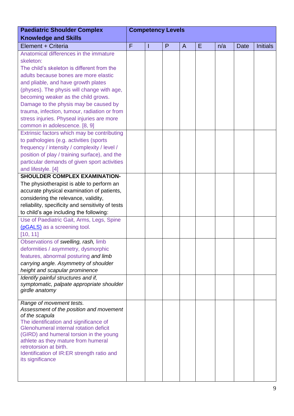| <b>Paediatric Shoulder Complex</b>                            | <b>Competency Levels</b> |   |   |              |   |     |      |                 |
|---------------------------------------------------------------|--------------------------|---|---|--------------|---|-----|------|-----------------|
| <b>Knowledge and Skills</b>                                   |                          |   |   |              |   |     |      |                 |
| Element + Criteria                                            | F                        | т | P | $\mathsf{A}$ | Ε | n/a | Date | <b>Initials</b> |
| Anatomical differences in the immature                        |                          |   |   |              |   |     |      |                 |
| skeleton:                                                     |                          |   |   |              |   |     |      |                 |
| The child's skeleton is different from the                    |                          |   |   |              |   |     |      |                 |
| adults because bones are more elastic                         |                          |   |   |              |   |     |      |                 |
| and pliable, and have growth plates                           |                          |   |   |              |   |     |      |                 |
| (physes). The physis will change with age,                    |                          |   |   |              |   |     |      |                 |
| becoming weaker as the child grows.                           |                          |   |   |              |   |     |      |                 |
| Damage to the physis may be caused by                         |                          |   |   |              |   |     |      |                 |
| trauma, infection, tumour, radiation or from                  |                          |   |   |              |   |     |      |                 |
| stress injuries. Physeal injuries are more                    |                          |   |   |              |   |     |      |                 |
| common in adolescence. [8, 9]                                 |                          |   |   |              |   |     |      |                 |
| Extrinsic factors which may be contributing                   |                          |   |   |              |   |     |      |                 |
| to pathologies (e.g. activities (sports)                      |                          |   |   |              |   |     |      |                 |
| frequency / intensity / complexity / level /                  |                          |   |   |              |   |     |      |                 |
| position of play / training surface), and the                 |                          |   |   |              |   |     |      |                 |
| particular demands of given sport activities                  |                          |   |   |              |   |     |      |                 |
| and lifestyle. [4]                                            |                          |   |   |              |   |     |      |                 |
| <b>SHOULDER COMPLEX EXAMINATION-</b>                          |                          |   |   |              |   |     |      |                 |
| The physiotherapist is able to perform an                     |                          |   |   |              |   |     |      |                 |
| accurate physical examination of patients,                    |                          |   |   |              |   |     |      |                 |
| considering the relevance, validity,                          |                          |   |   |              |   |     |      |                 |
| reliability, specificity and sensitivity of tests             |                          |   |   |              |   |     |      |                 |
| to child's age including the following:                       |                          |   |   |              |   |     |      |                 |
| Use of Paediatric Gait, Arms, Legs, Spine                     |                          |   |   |              |   |     |      |                 |
| (pGALS) as a screening tool.                                  |                          |   |   |              |   |     |      |                 |
| [10, 11]                                                      |                          |   |   |              |   |     |      |                 |
| Observations of swelling, rash, limb                          |                          |   |   |              |   |     |      |                 |
| deformities / asymmetry, dysmorphic                           |                          |   |   |              |   |     |      |                 |
| features, abnormal posturing and limb                         |                          |   |   |              |   |     |      |                 |
| carrying angle. Asymmetry of shoulder                         |                          |   |   |              |   |     |      |                 |
| height and scapular prominence                                |                          |   |   |              |   |     |      |                 |
| Identify painful structures and if,                           |                          |   |   |              |   |     |      |                 |
| symptomatic, palpate appropriate shoulder                     |                          |   |   |              |   |     |      |                 |
| girdle anatomy                                                |                          |   |   |              |   |     |      |                 |
| Range of movement tests.                                      |                          |   |   |              |   |     |      |                 |
| Assessment of the position and movement                       |                          |   |   |              |   |     |      |                 |
| of the scapula                                                |                          |   |   |              |   |     |      |                 |
| The identification and significance of                        |                          |   |   |              |   |     |      |                 |
| Glenohumeral internal rotation deficit                        |                          |   |   |              |   |     |      |                 |
| (GIRD) and humeral torsion in the young                       |                          |   |   |              |   |     |      |                 |
| athlete as they mature from humeral<br>retrotorsion at birth. |                          |   |   |              |   |     |      |                 |
| Identification of IR:ER strength ratio and                    |                          |   |   |              |   |     |      |                 |
| its significance                                              |                          |   |   |              |   |     |      |                 |
|                                                               |                          |   |   |              |   |     |      |                 |
|                                                               |                          |   |   |              |   |     |      |                 |
|                                                               |                          |   |   |              |   |     |      |                 |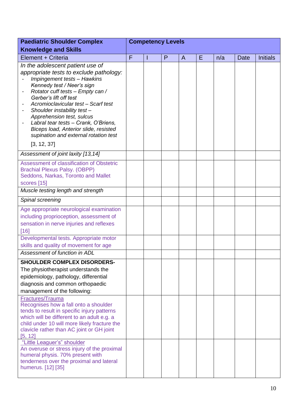| <b>Paediatric Shoulder Complex</b>                                                                                                                                                                                                                                                                                                                                                                                                                | <b>Competency Levels</b> |   |   |                |   |     |             |                 |
|---------------------------------------------------------------------------------------------------------------------------------------------------------------------------------------------------------------------------------------------------------------------------------------------------------------------------------------------------------------------------------------------------------------------------------------------------|--------------------------|---|---|----------------|---|-----|-------------|-----------------|
| <b>Knowledge and Skills</b>                                                                                                                                                                                                                                                                                                                                                                                                                       |                          |   |   |                |   |     |             |                 |
| Element + Criteria                                                                                                                                                                                                                                                                                                                                                                                                                                | F                        | ı | P | $\overline{A}$ | Ε | n/a | <b>Date</b> | <b>Initials</b> |
| In the adolescent patient use of<br>appropriate tests to exclude pathology:<br>Impingement tests - Hawkins<br>Kennedy test / Neer's sign<br>Rotator cuff tests - Empty can /<br>Gerber's lift off test<br>Acromioclavicular test - Scarf test<br>Shoulder instability test-<br>Apprehension test, sulcus<br>Labral tear tests - Crank, O'Briens,<br>Biceps load, Anterior slide, resisted<br>supination and external rotation test<br>[3, 12, 37] |                          |   |   |                |   |     |             |                 |
| Assessment of joint laxity [13,14]                                                                                                                                                                                                                                                                                                                                                                                                                |                          |   |   |                |   |     |             |                 |
| Assessment of classification of Obstetric<br><b>Brachial Plexus Palsy. (OBPP)</b><br>Seddons, Narkas, Toronto and Mallet<br>scores [15]<br>Muscle testing length and strength                                                                                                                                                                                                                                                                     |                          |   |   |                |   |     |             |                 |
| Spinal screening                                                                                                                                                                                                                                                                                                                                                                                                                                  |                          |   |   |                |   |     |             |                 |
| Age appropriate neurological examination<br>including proprioception, assessment of<br>sensation in nerve injuries and reflexes<br>$[16]$<br>Developmental tests. Appropriate motor<br>skills and quality of movement for age<br>Assessment of function in ADL                                                                                                                                                                                    |                          |   |   |                |   |     |             |                 |
| <b>SHOULDER COMPLEX DISORDERS-</b>                                                                                                                                                                                                                                                                                                                                                                                                                |                          |   |   |                |   |     |             |                 |
| The physiotherapist understands the<br>epidemiology, pathology, differential<br>diagnosis and common orthopaedic<br>management of the following:                                                                                                                                                                                                                                                                                                  |                          |   |   |                |   |     |             |                 |
| Fractures/Trauma<br>Recognises how a fall onto a shoulder<br>tends to result in specific injury patterns<br>which will be different to an adult e.g. a<br>child under 10 will more likely fracture the<br>clavicle rather than AC joint or GH joint<br>[5, 12]                                                                                                                                                                                    |                          |   |   |                |   |     |             |                 |
| "Little Leaguer's" shoulder<br>An overuse or stress injury of the proximal<br>humeral physis. 70% present with<br>tenderness over the proximal and lateral<br>humerus. [12] [35]                                                                                                                                                                                                                                                                  |                          |   |   |                |   |     |             |                 |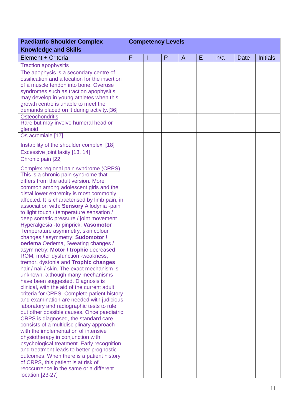| <b>Paediatric Shoulder Complex</b>                                               | <b>Competency Levels</b> |  |   |                |   |     |      |                 |
|----------------------------------------------------------------------------------|--------------------------|--|---|----------------|---|-----|------|-----------------|
| <b>Knowledge and Skills</b>                                                      |                          |  |   |                |   |     |      |                 |
| Element + Criteria                                                               | F                        |  | P | $\overline{A}$ | E | n/a | Date | <b>Initials</b> |
| <b>Traction apophysitis</b>                                                      |                          |  |   |                |   |     |      |                 |
| The apophysis is a secondary centre of                                           |                          |  |   |                |   |     |      |                 |
| ossification and a location for the insertion                                    |                          |  |   |                |   |     |      |                 |
| of a muscle tendon into bone. Overuse                                            |                          |  |   |                |   |     |      |                 |
| syndromes such as traction apophysitis                                           |                          |  |   |                |   |     |      |                 |
| may develop in young athletes when this                                          |                          |  |   |                |   |     |      |                 |
| growth centre is unable to meet the                                              |                          |  |   |                |   |     |      |                 |
| demands placed on it during activity.[36]                                        |                          |  |   |                |   |     |      |                 |
| <b>Osteochondritis</b>                                                           |                          |  |   |                |   |     |      |                 |
| Rare but may involve humeral head or<br>glenoid                                  |                          |  |   |                |   |     |      |                 |
| Os acromiale [17]                                                                |                          |  |   |                |   |     |      |                 |
|                                                                                  |                          |  |   |                |   |     |      |                 |
| Instability of the shoulder complex [18]                                         |                          |  |   |                |   |     |      |                 |
| Excessive joint laxity [13, 14]                                                  |                          |  |   |                |   |     |      |                 |
| Chronic pain [22]                                                                |                          |  |   |                |   |     |      |                 |
| Complex regional pain syndrome (CRPS)                                            |                          |  |   |                |   |     |      |                 |
| This is a chronic pain syndrome that                                             |                          |  |   |                |   |     |      |                 |
| differs from the adult version. More                                             |                          |  |   |                |   |     |      |                 |
| common among adolescent girls and the                                            |                          |  |   |                |   |     |      |                 |
| distal lower extremity is most commonly                                          |                          |  |   |                |   |     |      |                 |
| affected. It is characterised by limb pain, in                                   |                          |  |   |                |   |     |      |                 |
| association with: Sensory Allodynia -pain                                        |                          |  |   |                |   |     |      |                 |
| to light touch / temperature sensation /                                         |                          |  |   |                |   |     |      |                 |
| deep somatic pressure / joint movement                                           |                          |  |   |                |   |     |      |                 |
| Hyperalgesia - to pinprick; Vasomotor<br>Temperature asymmetry, skin colour      |                          |  |   |                |   |     |      |                 |
| changes / asymmetry; Sudomotor /                                                 |                          |  |   |                |   |     |      |                 |
| oedema Oedema, Sweating changes /                                                |                          |  |   |                |   |     |      |                 |
| asymmetry; Motor / trophic decreased                                             |                          |  |   |                |   |     |      |                 |
| ROM, motor dysfunction -weakness,                                                |                          |  |   |                |   |     |      |                 |
| tremor, dystonia and Trophic changes                                             |                          |  |   |                |   |     |      |                 |
| hair / nail / skin. The exact mechanism is                                       |                          |  |   |                |   |     |      |                 |
| unknown, although many mechanisms                                                |                          |  |   |                |   |     |      |                 |
| have been suggested. Diagnosis is                                                |                          |  |   |                |   |     |      |                 |
| clinical, with the aid of the current adult                                      |                          |  |   |                |   |     |      |                 |
| criteria for CRPS. Complete patient history                                      |                          |  |   |                |   |     |      |                 |
| and examination are needed with judicious                                        |                          |  |   |                |   |     |      |                 |
| laboratory and radiographic tests to rule                                        |                          |  |   |                |   |     |      |                 |
| out other possible causes. Once paediatric                                       |                          |  |   |                |   |     |      |                 |
| CRPS is diagnosed, the standard care                                             |                          |  |   |                |   |     |      |                 |
| consists of a multidisciplinary approach<br>with the implementation of intensive |                          |  |   |                |   |     |      |                 |
| physiotherapy in conjunction with                                                |                          |  |   |                |   |     |      |                 |
| psychological treatment. Early recognition                                       |                          |  |   |                |   |     |      |                 |
| and treatment leads to better prognostic                                         |                          |  |   |                |   |     |      |                 |
| outcomes. When there is a patient history                                        |                          |  |   |                |   |     |      |                 |
| of CRPS, this patient is at risk of                                              |                          |  |   |                |   |     |      |                 |
| reoccurrence in the same or a different                                          |                          |  |   |                |   |     |      |                 |
| location.[23-27]                                                                 |                          |  |   |                |   |     |      |                 |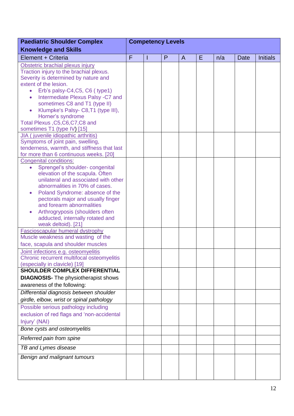| <b>Paediatric Shoulder Complex</b>                                             | <b>Competency Levels</b> |  |   |                |   |     |      |                 |
|--------------------------------------------------------------------------------|--------------------------|--|---|----------------|---|-----|------|-----------------|
| <b>Knowledge and Skills</b>                                                    |                          |  |   |                |   |     |      |                 |
| Element + Criteria                                                             | F                        |  | P | $\overline{A}$ | E | n/a | Date | <b>Initials</b> |
| Obstetric brachial plexus injury                                               |                          |  |   |                |   |     |      |                 |
| Traction injury to the brachial plexus.                                        |                          |  |   |                |   |     |      |                 |
| Severity is determined by nature and                                           |                          |  |   |                |   |     |      |                 |
| extent of the lesion.<br>Erb's palsy-C4,C5, C6 (type1)<br>$\bullet$            |                          |  |   |                |   |     |      |                 |
| Intermediate Plexus Palsy -C7 and<br>$\bullet$                                 |                          |  |   |                |   |     |      |                 |
| sometimes C8 and T1 (type II)                                                  |                          |  |   |                |   |     |      |                 |
| Klumpke's Palsy- C8, T1 (type III),<br>$\bullet$                               |                          |  |   |                |   |     |      |                 |
| Horner's syndrome                                                              |                          |  |   |                |   |     |      |                 |
| Total Plexus, C5, C6, C7, C8 and                                               |                          |  |   |                |   |     |      |                 |
| sometimes T1 (type IV) [15]                                                    |                          |  |   |                |   |     |      |                 |
| JIA (juvenile idiopathic arthritis)                                            |                          |  |   |                |   |     |      |                 |
| Symptoms of joint pain, swelling,                                              |                          |  |   |                |   |     |      |                 |
| tenderness, warmth, and stiffness that last                                    |                          |  |   |                |   |     |      |                 |
| for more than 6 continuous weeks. [20]                                         |                          |  |   |                |   |     |      |                 |
| <b>Congenital conditions:</b>                                                  |                          |  |   |                |   |     |      |                 |
| Sprengel's shoulder-congenital<br>$\bullet$<br>elevation of the scapula. Often |                          |  |   |                |   |     |      |                 |
| unilateral and associated with other                                           |                          |  |   |                |   |     |      |                 |
| abnormalities in 70% of cases.                                                 |                          |  |   |                |   |     |      |                 |
| Poland Syndrome: absence of the<br>$\bullet$                                   |                          |  |   |                |   |     |      |                 |
| pectorals major and usually finger                                             |                          |  |   |                |   |     |      |                 |
| and forearm abnormalities                                                      |                          |  |   |                |   |     |      |                 |
| Arthrogryposis (shoulders often                                                |                          |  |   |                |   |     |      |                 |
| adducted, internally rotated and                                               |                          |  |   |                |   |     |      |                 |
| weak deltoid). [21]                                                            |                          |  |   |                |   |     |      |                 |
| Fascioscapular humeral dystrophy<br>Muscle weakness and wasting of the         |                          |  |   |                |   |     |      |                 |
| face, scapula and shoulder muscles                                             |                          |  |   |                |   |     |      |                 |
| Joint infections e.g. osteomyelitis                                            |                          |  |   |                |   |     |      |                 |
| Chronic recurrent multifocal osteomyelitis                                     |                          |  |   |                |   |     |      |                 |
| (especially in clavicle) [19]                                                  |                          |  |   |                |   |     |      |                 |
| <b>SHOULDER COMPLEX DIFFERENTIAL</b>                                           |                          |  |   |                |   |     |      |                 |
| <b>DIAGNOSIS-</b> The physiotherapist shows                                    |                          |  |   |                |   |     |      |                 |
| awareness of the following:                                                    |                          |  |   |                |   |     |      |                 |
| Differential diagnosis between shoulder                                        |                          |  |   |                |   |     |      |                 |
| girdle, elbow, wrist or spinal pathology                                       |                          |  |   |                |   |     |      |                 |
| Possible serious pathology including                                           |                          |  |   |                |   |     |      |                 |
| exclusion of red flags and 'non-accidental                                     |                          |  |   |                |   |     |      |                 |
| Injury' (NAI)                                                                  |                          |  |   |                |   |     |      |                 |
| Bone cysts and osteomyelitis                                                   |                          |  |   |                |   |     |      |                 |
| Referred pain from spine                                                       |                          |  |   |                |   |     |      |                 |
| TB and Lymes disease                                                           |                          |  |   |                |   |     |      |                 |
| Benign and malignant tumours                                                   |                          |  |   |                |   |     |      |                 |
|                                                                                |                          |  |   |                |   |     |      |                 |
|                                                                                |                          |  |   |                |   |     |      |                 |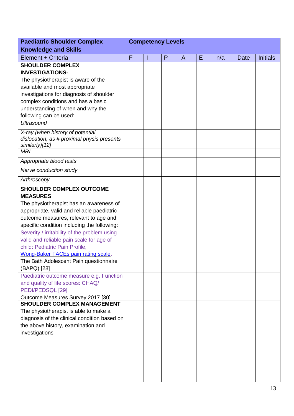| <b>Paediatric Shoulder Complex</b>                                                               | <b>Competency Levels</b> |  |   |                |   |     |      |                 |
|--------------------------------------------------------------------------------------------------|--------------------------|--|---|----------------|---|-----|------|-----------------|
| <b>Knowledge and Skills</b>                                                                      |                          |  |   |                |   |     |      |                 |
| Element + Criteria                                                                               | F                        |  | P | $\overline{A}$ | E | n/a | Date | <b>Initials</b> |
| <b>SHOULDER COMPLEX</b>                                                                          |                          |  |   |                |   |     |      |                 |
| <b>INVESTIGATIONS-</b>                                                                           |                          |  |   |                |   |     |      |                 |
| The physiotherapist is aware of the                                                              |                          |  |   |                |   |     |      |                 |
| available and most appropriate                                                                   |                          |  |   |                |   |     |      |                 |
| investigations for diagnosis of shoulder                                                         |                          |  |   |                |   |     |      |                 |
| complex conditions and has a basic                                                               |                          |  |   |                |   |     |      |                 |
| understanding of when and why the                                                                |                          |  |   |                |   |     |      |                 |
| following can be used:                                                                           |                          |  |   |                |   |     |      |                 |
| <b>Ultrasound</b>                                                                                |                          |  |   |                |   |     |      |                 |
| X-ray (when history of potential<br>dislocation, as # proximal physis presents<br>similarly)[12] |                          |  |   |                |   |     |      |                 |
| <b>MRI</b>                                                                                       |                          |  |   |                |   |     |      |                 |
| Appropriate blood tests                                                                          |                          |  |   |                |   |     |      |                 |
| Nerve conduction study                                                                           |                          |  |   |                |   |     |      |                 |
| Arthroscopy                                                                                      |                          |  |   |                |   |     |      |                 |
| <b>SHOULDER COMPLEX OUTCOME</b>                                                                  |                          |  |   |                |   |     |      |                 |
| <b>MEASURES</b>                                                                                  |                          |  |   |                |   |     |      |                 |
| The physiotherapist has an awareness of                                                          |                          |  |   |                |   |     |      |                 |
| appropriate, valid and reliable paediatric                                                       |                          |  |   |                |   |     |      |                 |
| outcome measures, relevant to age and                                                            |                          |  |   |                |   |     |      |                 |
| specific condition including the following:                                                      |                          |  |   |                |   |     |      |                 |
| Severity / irritability of the problem using                                                     |                          |  |   |                |   |     |      |                 |
| valid and reliable pain scale for age of                                                         |                          |  |   |                |   |     |      |                 |
| child: Pediatric Pain Profile,                                                                   |                          |  |   |                |   |     |      |                 |
| Wong-Baker FACEs pain rating scale.                                                              |                          |  |   |                |   |     |      |                 |
| The Bath Adolescent Pain questionnaire                                                           |                          |  |   |                |   |     |      |                 |
| (BAPQ) [28]                                                                                      |                          |  |   |                |   |     |      |                 |
| Paediatric outcome measure e.g. Function                                                         |                          |  |   |                |   |     |      |                 |
| and quality of life scores: CHAQ/                                                                |                          |  |   |                |   |     |      |                 |
| PEDI/PEDSQL [29]                                                                                 |                          |  |   |                |   |     |      |                 |
| Outcome Measures Survey 2017 [30]                                                                |                          |  |   |                |   |     |      |                 |
| <b>SHOULDER COMPLEX MANAGEMENT</b>                                                               |                          |  |   |                |   |     |      |                 |
| The physiotherapist is able to make a                                                            |                          |  |   |                |   |     |      |                 |
| diagnosis of the clinical condition based on                                                     |                          |  |   |                |   |     |      |                 |
| the above history, examination and                                                               |                          |  |   |                |   |     |      |                 |
| investigations                                                                                   |                          |  |   |                |   |     |      |                 |
|                                                                                                  |                          |  |   |                |   |     |      |                 |
|                                                                                                  |                          |  |   |                |   |     |      |                 |
|                                                                                                  |                          |  |   |                |   |     |      |                 |
|                                                                                                  |                          |  |   |                |   |     |      |                 |
|                                                                                                  |                          |  |   |                |   |     |      |                 |
|                                                                                                  |                          |  |   |                |   |     |      |                 |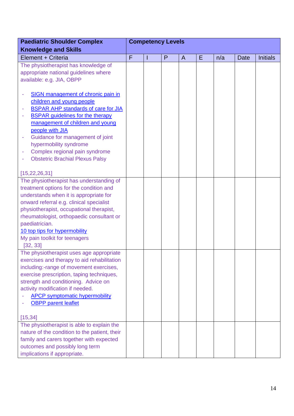| <b>Paediatric Shoulder Complex</b>              | <b>Competency Levels</b> |  |   |              |   |     |             |                 |
|-------------------------------------------------|--------------------------|--|---|--------------|---|-----|-------------|-----------------|
| <b>Knowledge and Skills</b>                     |                          |  |   |              |   |     |             |                 |
| Element + Criteria                              | F                        |  | P | $\mathsf{A}$ | E | n/a | <b>Date</b> | <b>Initials</b> |
| The physiotherapist has knowledge of            |                          |  |   |              |   |     |             |                 |
| appropriate national guidelines where           |                          |  |   |              |   |     |             |                 |
| available: e.g. JIA, OBPP                       |                          |  |   |              |   |     |             |                 |
|                                                 |                          |  |   |              |   |     |             |                 |
| <b>SIGN</b> management of chronic pain in<br>۰  |                          |  |   |              |   |     |             |                 |
| children and young people                       |                          |  |   |              |   |     |             |                 |
| <b>BSPAR AHP standards of care for JIA</b><br>۰ |                          |  |   |              |   |     |             |                 |
| <b>BSPAR</b> guidelines for the therapy         |                          |  |   |              |   |     |             |                 |
| management of children and young                |                          |  |   |              |   |     |             |                 |
| people with JIA                                 |                          |  |   |              |   |     |             |                 |
| Guidance for management of joint<br>۰           |                          |  |   |              |   |     |             |                 |
| hypermobility syndrome                          |                          |  |   |              |   |     |             |                 |
| Complex regional pain syndrome<br>۰             |                          |  |   |              |   |     |             |                 |
| <b>Obstetric Brachial Plexus Palsy</b>          |                          |  |   |              |   |     |             |                 |
| [15, 22, 26, 31]                                |                          |  |   |              |   |     |             |                 |
| The physiotherapist has understanding of        |                          |  |   |              |   |     |             |                 |
| treatment options for the condition and         |                          |  |   |              |   |     |             |                 |
| understands when it is appropriate for          |                          |  |   |              |   |     |             |                 |
| onward referral e.g. clinical specialist        |                          |  |   |              |   |     |             |                 |
| physiotherapist, occupational therapist,        |                          |  |   |              |   |     |             |                 |
| rheumatologist, orthopaedic consultant or       |                          |  |   |              |   |     |             |                 |
| paediatrician.                                  |                          |  |   |              |   |     |             |                 |
| 10 top tips for hypermobility                   |                          |  |   |              |   |     |             |                 |
| My pain toolkit for teenagers                   |                          |  |   |              |   |     |             |                 |
| [32, 33]                                        |                          |  |   |              |   |     |             |                 |
| The physiotherapist uses age appropriate        |                          |  |   |              |   |     |             |                 |
| exercises and therapy to aid rehabilitation     |                          |  |   |              |   |     |             |                 |
| including:-range of movement exercises,         |                          |  |   |              |   |     |             |                 |
| exercise prescription, taping techniques,       |                          |  |   |              |   |     |             |                 |
| strength and conditioning. Advice on            |                          |  |   |              |   |     |             |                 |
| activity modification if needed.                |                          |  |   |              |   |     |             |                 |
| <b>APCP symptomatic hypermobility</b>           |                          |  |   |              |   |     |             |                 |
| <b>OBPP</b> parent leaflet                      |                          |  |   |              |   |     |             |                 |
|                                                 |                          |  |   |              |   |     |             |                 |
| [15, 34]                                        |                          |  |   |              |   |     |             |                 |
| The physiotherapist is able to explain the      |                          |  |   |              |   |     |             |                 |
| nature of the condition to the patient, their   |                          |  |   |              |   |     |             |                 |
| family and carers together with expected        |                          |  |   |              |   |     |             |                 |
| outcomes and possibly long term                 |                          |  |   |              |   |     |             |                 |
| implications if appropriate.                    |                          |  |   |              |   |     |             |                 |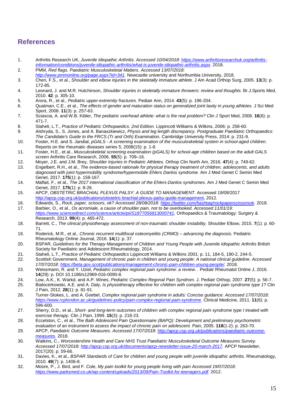#### **References**

- 1. Arthritis Research UK, *Juvenile Idiopathic Arthritis. Accessed 10/04/2018: [https://www.arthritisresearchuk.org/arthritis](https://www.arthritisresearchuk.org/arthritis-information/conditions/juvenile-idiopathic-arthritis/what-is-juvenile-idiopathic-arthritis.aspx)[information/conditions/juvenile-idiopathic-arthritis/what-is-juvenile-idiopathic-arthritis.aspx.](https://www.arthritisresearchuk.org/arthritis-information/conditions/juvenile-idiopathic-arthritis/what-is-juvenile-idiopathic-arthritis.aspx)* 2018.
- 2. PMM, *Red flags. Paediatric Musculoskeletal Matters. Accessed 13/07/2018: [http://www.pmmonline.org/page.aspx?id=341.](http://www.pmmonline.org/page.aspx?id=341)* Newcastle university and Northumbia University, 2018.
- 3. Chen, F.S., et al., *Shoulder and elbow injuries in the skeletally immature athlete.* J Am Acad Orthop Surg, 2005. **13**(3): p. 172-85.
- 4. Leonard, J. and M.R. Hutchinson, *Shoulder injuries in skeletally immature throwers: review and thoughts.* Br.J.Sports Med, 2010. **42**: p. 305-10.
- 5. Arora, R., et al., *Pediatric upper-extremity fractures.* Pediatr Ann, 2014. **43**(5): p. 196-204.
- 6. Quatman, C.E., et al., *The effects of gender and maturation status on generalized joint laxity in young athletes.* J Sci Med Sport, 2008. **11**(3): p. 257-63.
- 7. Sciascia, A. and W.B. Kibler, *The pediatric overhead athlete: what is the real problem?* Clin J Sport Med, 2006. **16**(6): p. 471-7.
- 8. Staheli, L.T., *Practice of Pediatric Orthopaedics. 2nd Edition.* Lippincott Williams & Wilkins, 2006: p. 258-60.
- 9. Alshryda, S., S. Jones, and A. Banaszkiewicz, *Physis and leg length discrepancy. Postgraduate Paediatric Orthopaedics: The Candidate's Guide to the FRCS (Tr and Orth) Examination.* Cambridge University Press, 2014: p. 231-9.
- 10. Foster, H.E. and S. Jandial, *pGALS - A screening examination of the musculoskeletal system in school-aged children.* Reports on the rheumatic diseases series 5, 2008(15): p. 1-8.
- 11. Foster, H.E., et al., *Musculoskeletal screening examination (pGALS) for school-age children based on the adult GALS screen* Arthritis Care Research, 2006. **55**(5): p. 709–16.
- 12. Moyer, J.E. and J.M. Brey, *Shoulder Injuries in Pediatric Athletes.* Orthop Clin North Am, 2016. **47**(4): p. 749-62.
- 13. Engelbert, R.H., et al., *The evidence-based rationale for physical therapy treatment of children, adolescents, and adults diagnosed with joint hypermobility syndrome/hypermobile Ehlers Danlos syndrome.* Am J Med Genet C Semin Med Genet, 2017. **175**(1): p. 158-167.
- 14. Malfait, F., et al., *The 2017 international classification of the Ehlers-Danlos syndromes.* Am J Med Genet C Semin Med Genet, 2017. **175**(1): p. 8-26.
- 15. APCP, *OBSTETRIC BRACHIAL PLEXUS PALSY: A GUIDE TO MANAGEMENT.* Accessed 19/09/2017 [http://apcp.csp.org.uk/publications/obstetric-brachial-plexus-palsy-guide-management,](http://apcp.csp.org.uk/publications/obstetric-brachial-plexus-palsy-guide-management) 2012.
- 16. Edwards, S., *Rock, paper, scissors, ok? Accessed 28/08/2018: [https://twitter.com/hashtag/rockpaperscissorsok.](https://twitter.com/hashtag/rockpaperscissorsok)* 2018.
- 17. Barbier, O., et al., *Os acromiale, a cause of shoulder pain, not to be overlooked. Accessed 11/01/19: [https://www.sciencedirect.com/science/article/pii/S1877056813000741.](https://www.sciencedirect.com/science/article/pii/S1877056813000741)* Orthopaedics & Traumatology: Surgery & Research, 2013. **99**(4): p. 465-472.
- 18. Barrett, C., *The clinical physiotherapy assessment of non-traumatic shoulder instability.* Shoulder Elbow, 2015. **7**(1): p. 60- 71.
- 19. Roderick, M.R., et al., *Chronic recurrent multifocal osteomyelitis (CRMO) – advancing the diagnosis.* Pediatric Rheumatology Online Journal, 2016. **14**(1): p. 37.
- 20. BSPAR, *Guidelines for the Therapy Management of Children and Young People with Juvenile Idiopathic Arthritis* British Society for Paediatric and Adolescent Rheumatology, 2014.
- 21. Staheli, L.T., *Practice of Pediatric Orthopaedics* Lippincott Williams & Wilkins 2001: p. 11, 184-5, 190-2, 244-5.
- 22. Scottish Government, *Management of chronic pain in children and young people: A national clinical guideline. Accessed 17/07/2018: [https://beta.gov.scot/publications/management-chronic-pain-children-young-people/.](https://beta.gov.scot/publications/management-chronic-pain-children-young-people/)* 2018.
- 23. Weissmann, R. and Y. Uziel, *Pediatric complex regional pain syndrome: a review. .* Pediatr Rheumatol Online J, 2016. **14**(29): p. DOI 10.1186/s12969-016-0090-8.
- 24. Low, A.K., K. Warkd, and A.P. Wines, *Pediatric Complex Regonal Pain Syndrom.* J. Pediatr Orthop, 2007. **27**(5): p. 56-7.
- 25. Bialocerkowski, A.E. and A. Daly, *Is physiotherapy effective for children with complex regional pain syndrome type 1?* Clin J Pain, 2012. **28**(1): p. 81-91.
- 26. Turner-Stokes, L. and A. Goebel, *Complex regional pain syndrome in adults: Concise guidance. Accessed 17/07/2018: [https://www.rcplondon.ac.uk/guidelines-policy/pain-complex-regional-pain-syndrome.](https://www.rcplondon.ac.uk/guidelines-policy/pain-complex-regional-pain-syndrome)* Clinical Medicine, 2011. **11**(6): p. 596-600.
- 27. Sherry, D.D., et al., Short- and long-term outcomes of children with complex regional pain syndrome type I treated with *exercise therapy.* Clin J Pain, 1999. **15**(3): p. 218-23.
- 28. Eccelston, C., et al., *The Bath Adolescent Pain Questionnaire (BAPQ): Development and preliminary psychometric evaluation of an instrument to assess the impact of chronic pain on adolescent.* Pain, 2005. **118**(1-2): p. 263-70.
- 29. APCP, *Paediatric Outcome Measures. Accessed 17/07/2018: [http://apcp.csp.org.uk/publications/paediatric-outcome](http://apcp.csp.org.uk/publications/paediatric-outcome-measures)[measures.](http://apcp.csp.org.uk/publications/paediatric-outcome-measures)* 2018.
- 30. Watkins, C., *Worcestershire Health and Care NHS Trust Paediatric Musculoskeletal Outcome Measures Survey. Accessed 17/07/2018: [http://apcp.csp.org.uk/documents/apcp-newsletter-issue-20-march-2017.](http://apcp.csp.org.uk/documents/apcp-newsletter-issue-20-march-2017)* APCP Newsletter, 2017(20): p. 59-66.
- 31. Davies, K., et al., *BSPAR Standards of Care for children and young people with juvenile idiopathic arthritis.* Rheumatology, 2010. **49**(7): p. 1406-8.
- 32. Moore, P., J. Bird, and F. Cole, *My pain toolkit for young people living with pain Accessed 19/07/2018: [https://www.parksmed.co.uk/wp-content/uploads/2013/09/Pain-Toolkit-for-teenagers.pdf.](https://www.parksmed.co.uk/wp-content/uploads/2013/09/Pain-Toolkit-for-teenagers.pdf)* 2012.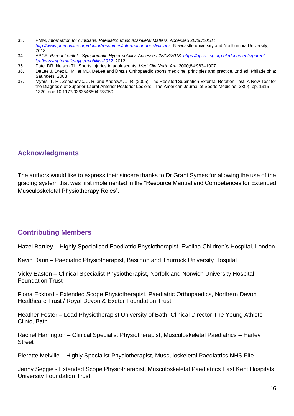- 33. PMM, *Information for clinicians. Paediatric Musculoskeletal Matters. Accessed 28/08/2018.: [http://www.pmmonline.org/doctor/resources/information-for-clinicians.](http://www.pmmonline.org/doctor/resources/information-for-clinicians)* Newcastle university and Northumbia University, 2018.
- 34. APCP, *Parent Leaflet - Symptomatic Hypermobility. Accessed 28/08/2018: [https://apcp.csp.org.uk/documents/parent](https://apcp.csp.org.uk/documents/parent-leaflet-symptomatic-hypermobility-2012)[leaflet-symptomatic-hypermobility-2012.](https://apcp.csp.org.uk/documents/parent-leaflet-symptomatic-hypermobility-2012)* 2012.
- 35. Patel DR, Nelson TL. Sports injuries in adolescents. *Med Clin North Am*. 2000;84:983–1007
- 36. DeLee J, Drez D, Miller MD. DeLee and Drez's Orthopaedic sports medicine: principles and practice. 2nd ed. Philadelphia: Saunders, 2003
- 37. Myers, T. H., Zemanovic, J. R. and Andrews, J. R. (2005) 'The Resisted Supination External Rotation Test: A New Test for the Diagnosis of Superior Labral Anterior Posterior Lesions', The American Journal of Sports Medicine, 33(9), pp. 1315– 1320. doi: 10.1177/0363546504273050.

#### **Acknowledgments**

The authors would like to express their sincere thanks to Dr Grant Symes for allowing the use of the grading system that was first implemented in the "Resource Manual and Competences for Extended Musculoskeletal Physiotherapy Roles".

#### **Contributing Members**

Hazel Bartley – Highly Specialised Paediatric Physiotherapist, Evelina Children's Hospital, London

Kevin Dann – Paediatric Physiotherapist, Basildon and Thurrock University Hospital

Vicky Easton – Clinical Specialist Physiotherapist, Norfolk and Norwich University Hospital, Foundation Trust

Fiona Eckford - Extended Scope Physiotherapist, Paediatric Orthopaedics, Northern Devon Healthcare Trust / Royal Devon & Exeter Foundation Trust

Heather Foster – Lead Physiotherapist University of Bath; Clinical Director The Young Athlete Clinic, Bath

Rachel Harrington – Clinical Specialist Physiotherapist, Musculoskeletal Paediatrics – Harley **Street** 

Pierette Melville – Highly Specialist Physiotherapist, Musculoskeletal Paediatrics NHS Fife

Jenny Seggie - Extended Scope Physiotherapist, Musculoskeletal Paediatrics East Kent Hospitals University Foundation Trust